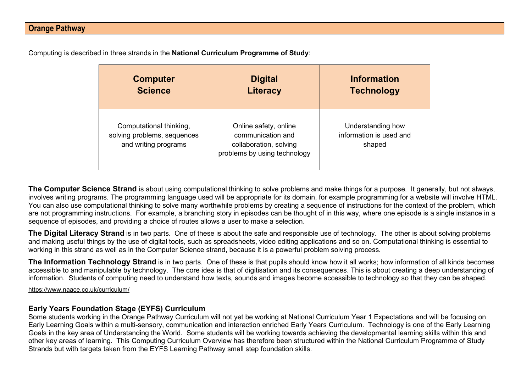| <b>Computer</b>                                                                | <b>Digital</b>                                                                                       | <b>Information</b>                                     |  |
|--------------------------------------------------------------------------------|------------------------------------------------------------------------------------------------------|--------------------------------------------------------|--|
| <b>Science</b>                                                                 | <b>Literacy</b>                                                                                      | <b>Technology</b>                                      |  |
| Computational thinking,<br>solving problems, sequences<br>and writing programs | Online safety, online<br>communication and<br>collaboration, solving<br>problems by using technology | Understanding how<br>information is used and<br>shaped |  |

Computing is described in three strands in the **National Curriculum Programme of Study**:

**The Computer Science Strand** is about using computational thinking to solve problems and make things for a purpose. It generally, but not always, involves writing programs. The programming language used will be appropriate for its domain, for example programming for a website will involve HTML. You can also use computational thinking to solve many worthwhile problems by creating a sequence of instructions for the context of the problem, which are not programming instructions. For example, a branching story in episodes can be thought of in this way, where one episode is a single instance in a sequence of episodes, and providing a choice of routes allows a user to make a selection.

**The Digital Literacy Strand** is in two parts. One of these is about the safe and responsible use of technology. The other is about solving problems and making useful things by the use of digital tools, such as spreadsheets, video editing applications and so on. Computational thinking is essential to working in this strand as well as in the Computer Science strand, because it is a powerful problem solving process.

**The Information Technology Strand** is in two parts. One of these is that pupils should know how it all works; how information of all kinds becomes accessible to and manipulable by technology. The core idea is that of digitisation and its consequences. This is about creating a deep understanding of information. Students of computing need to understand how texts, sounds and images become accessible to technology so that they can be shaped.

<https://www.naace.co.uk/curriculum/>

#### **Early Years Foundation Stage (EYFS) Curriculum**

Some students working in the Orange Pathway Curriculum will not yet be working at National Curriculum Year 1 Expectations and will be focusing on Early Learning Goals within a multi-sensory, communication and interaction enriched Early Years Curriculum. Technology is one of the Early Learning Goals in the key area of Understanding the World. Some students will be working towards achieving the developmental learning skills within this and other key areas of learning. This Computing Curriculum Overview has therefore been structured within the National Curriculum Programme of Study Strands but with targets taken from the EYFS Learning Pathway small step foundation skills.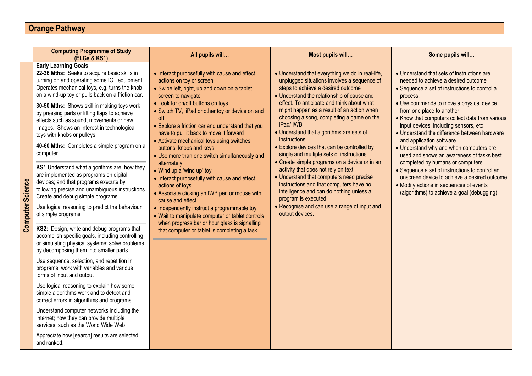**Computer Science**

**Computer Science** 

| <b>Computing Programme of Study</b><br>(ELGs & KS1)                                                                                                                                                                                                                                                                                                                                                                                                                                                                                                                                                                                                                                                                                                                                                                                                                                                                                                                                                                                                                                                                                                                                                                                                                                                                                                                                                                                                                                | All pupils will                                                                                                                                                                                                                                                                                                                                                                                                                                                                                                                                                                                                                                                                                                                                                                                                                                                  | Most pupils will                                                                                                                                                                                                                                                                                                                                                                                                                                                                                                                                                                                                                                                                                                                                                                                                               | Some pupils will                                                                                                                                                                                                                                                                                                                                                                                                                                                                                                                                                                                                                                                                                                            |
|------------------------------------------------------------------------------------------------------------------------------------------------------------------------------------------------------------------------------------------------------------------------------------------------------------------------------------------------------------------------------------------------------------------------------------------------------------------------------------------------------------------------------------------------------------------------------------------------------------------------------------------------------------------------------------------------------------------------------------------------------------------------------------------------------------------------------------------------------------------------------------------------------------------------------------------------------------------------------------------------------------------------------------------------------------------------------------------------------------------------------------------------------------------------------------------------------------------------------------------------------------------------------------------------------------------------------------------------------------------------------------------------------------------------------------------------------------------------------------|------------------------------------------------------------------------------------------------------------------------------------------------------------------------------------------------------------------------------------------------------------------------------------------------------------------------------------------------------------------------------------------------------------------------------------------------------------------------------------------------------------------------------------------------------------------------------------------------------------------------------------------------------------------------------------------------------------------------------------------------------------------------------------------------------------------------------------------------------------------|--------------------------------------------------------------------------------------------------------------------------------------------------------------------------------------------------------------------------------------------------------------------------------------------------------------------------------------------------------------------------------------------------------------------------------------------------------------------------------------------------------------------------------------------------------------------------------------------------------------------------------------------------------------------------------------------------------------------------------------------------------------------------------------------------------------------------------|-----------------------------------------------------------------------------------------------------------------------------------------------------------------------------------------------------------------------------------------------------------------------------------------------------------------------------------------------------------------------------------------------------------------------------------------------------------------------------------------------------------------------------------------------------------------------------------------------------------------------------------------------------------------------------------------------------------------------------|
| <b>Early Learning Goals</b><br>22-36 Mths: Seeks to acquire basic skills in<br>turning on and operating some ICT equipment.<br>Operates mechanical toys, e.g. turns the knob<br>on a wind-up toy or pulls back on a friction car.<br>30-50 Mths: Shows skill in making toys work<br>by pressing parts or lifting flaps to achieve<br>effects such as sound, movements or new<br>images. Shows an interest in technological<br>toys with knobs or pulleys.<br>40-60 Mths: Completes a simple program on a<br>computer.<br>KS1 Understand what algorithms are; how they<br>are implemented as programs on digital<br>devices; and that programs execute by<br>following precise and unambiguous instructions<br>Create and debug simple programs<br>Use logical reasoning to predict the behaviour<br>of simple programs<br>KS2: Design, write and debug programs that<br>accomplish specific goals, including controlling<br>or simulating physical systems; solve problems<br>by decomposing them into smaller parts<br>Use sequence, selection, and repetition in<br>programs; work with variables and various<br>forms of input and output<br>Use logical reasoning to explain how some<br>simple algorithms work and to detect and<br>correct errors in algorithms and programs<br>Understand computer networks including the<br>internet; how they can provide multiple<br>services, such as the World Wide Web<br>Appreciate how [search] results are selected<br>and ranked. | • Interact purposefully with cause and effect<br>actions on toy or screen<br>• Swipe left, right, up and down on a tablet<br>screen to navigate<br>• Look for on/off buttons on toys<br>• Switch TV, iPad or other toy or device on and<br>off<br>• Explore a friction car and understand that you<br>have to pull it back to move it forward<br>• Activate mechanical toys using switches,<br>buttons, knobs and keys<br>• Use more than one switch simultaneously and<br>alternately<br>• Wind up a 'wind up' toy<br>• Interact purposefully with cause and effect<br>actions of toys<br>• Associate clicking an IWB pen or mouse with<br>cause and effect<br>• Independently instruct a programmable toy<br>• Wait to manipulate computer or tablet controls<br>when progress bar or hour glass is signalling<br>that computer or tablet is completing a task | • Understand that everything we do in real-life,<br>unplugged situations involves a sequence of<br>steps to achieve a desired outcome<br>• Understand the relationship of cause and<br>effect. To anticipate and think about what<br>might happen as a result of an action when<br>choosing a song, completing a game on the<br>iPad/ IWB.<br>• Understand that algorithms are sets of<br><i>instructions</i><br>• Explore devices that can be controlled by<br>single and multiple sets of instructions<br>• Create simple programs on a device or in an<br>activity that does not rely on text<br>• Understand that computers need precise<br>instructions and that computers have no<br>intelligence and can do nothing unless a<br>program is executed.<br>• Recognise and can use a range of input and<br>output devices. | • Understand that sets of instructions are<br>needed to achieve a desired outcome<br>• Sequence a set of instructions to control a<br>process.<br>• Use commands to move a physical device<br>from one place to another.<br>• Know that computers collect data from various<br>input devices, including sensors, etc<br>• Understand the difference between hardware<br>and application software.<br>• Understand why and when computers are<br>used and shows an awareness of tasks best<br>completed by humans or computers.<br>• Sequence a set of instructions to control an<br>onscreen device to achieve a desired outcome.<br>• Modify actions in sequences of events<br>(algorithms) to achieve a goal (debugging). |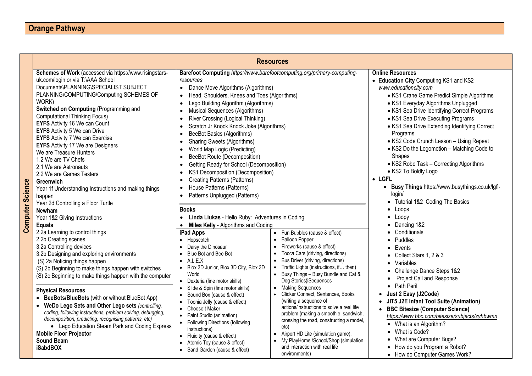| <b>Schemes of Work (accessed via https://www.risingstars-</b><br>uk.com/login or via T:\AAA School<br>Documents\PLANNING\SPECIALIST SUBJECT<br>PLANNING\COMPUTING\Computing SCHEMES OF<br>WORK)<br>Switched on Computing (Programming and<br><b>Computational Thinking Focus)</b><br>EYFS Activity 16 We can Count<br><b>EYFS</b> Activity 5 We can Drive<br><b>EYFS</b> Activity 7 We can Exercise<br><b>EYFS</b> Activity 17 We are Designers<br>We are Treasure Hunters<br>1.2 We are TV Chefs<br>2.1 We are Astronauts<br>2.2 We are Games Testers<br><b>Computer Science</b><br>Greenwich<br>Year 1f Understanding Instructions and making things<br>happen<br>Year 2d Controlling a Floor Turtle<br><b>Newham</b><br>Year 1&2 Giving Instructions<br><b>Equals</b><br>2.2a Learning to control things<br>2.2b Creating scenes<br>3.2a Controlling devices<br>3.2b Designing and exploring environments<br>(S) 2a Noticing things happen<br>(S) 2b Beginning to make things happen with switches<br>(S) 2c Beginning to make things happen with the computer<br><b>Physical Resources</b><br>BeeBots/BlueBots (with or without BlueBot App)<br>WeDo Lego Sets and Other Lego sets (controlling,<br>$\bullet$<br>coding, following instructions, problem solving, debugging,<br>decomposition, predicting, recognising patterns, etc)<br>• Lego Education Steam Park and Coding Express<br><b>Mobile Floor Projector</b><br><b>Sound Beam</b><br><b>iSabdBOX</b> | Barefoot Computing https://www.barefootcomputing.org/primary-computing-<br>resources<br>Dance Move Algorithms (Algorithms)<br>$\bullet$<br>Head, Shoulders, Knees and Toes (Algorithms)<br>Lego Building Algorithm (Algorithms)<br>$\bullet$<br>Musical Sequences (Algorithms)<br>River Crossing (Logical Thinking)<br>Scratch Jr Knock Knock Joke (Algorithms)<br>BeeBot Basics (Algorithms)<br>Sharing Sweets (Algorithms)<br>World Map Logic (Predicting)<br>BeeBot Route (Decomposition)<br>Getting Ready for School (Decomposition)<br>٠<br>KS1 Decomposition (Decomposition)<br><b>Creating Patterns (Patterns)</b><br>House Patterns (Patterns)<br>Patterns Unplugged (Patterns)<br>$\bullet$<br><b>Books</b><br>Linda Liukas - Hello Ruby: Adventures in Coding<br>Miles Kelly - Algorithms and Coding<br>$\bullet$<br>iPad Apps<br>• Hopscotch<br>Daisy the Dinosaur<br>Blue Bot and Bee Bot<br>A.L.E.X<br>Blox 3D Junior, Blox 3D City, Blox 3D<br>$\bullet$<br>World<br>Dexteria (fine motor skills)<br>$\bullet$<br>Slide & Spin (fine motor skills)<br>$\bullet$<br>Sound Box (cause & effect)<br>Toonia Jelly (cause & effect)<br><b>Chooselt Maker</b><br>$\bullet$<br>Paint Studio (animation)<br>$\bullet$<br>• Following Directions (following<br>instructions)<br>• Fluidity (cause & effect)<br>Atomic Toy (cause & effect)<br>• Sand Garden (cause & effect) | • Fun Bubbles (cause & effect)<br><b>Balloon Popper</b><br>$\bullet$<br>• Fireworks (cause & effect)<br>Tocca Cars (driving, directions)<br>$\bullet$<br>Bus Driver (driving, directions)<br>$\bullet$<br>Traffic Lights (instructions, if then)<br>$\bullet$<br>Busy Things - Busy Bundle and Cat &<br>Dog Stories) iSequences<br>• Making Sequences<br>Clicker Connect, Sentences, Books<br>(writing a sequence of<br>actions/instructions to solve a real life<br>problem (making a smoothie, sandwich,<br>crossing the road, constructing a model,<br>etc)<br>Airport HD Lite (simulation game),<br>$\bullet$<br>• My PlayHome /School/Shop (simulation<br>and interaction with real life<br>environments) | <b>Online Resources</b><br>• Education City Computing KS1 and KS2<br>www.educationcity.com<br>• KS1 Crane Game Predict Simple Algorithms<br>• KS1 Everyday Algorithms Unplugged<br>• KS1 Sea Drive Identifying Correct Programs<br>• KS1 Sea Drive Executing Programs<br>• KS1 Sea Drive Extending Identifying Correct<br>Programs<br>• KS2 Code Crunch Lesson - Using Repeat<br>• KS2 Do the Logomotion - Matching Code to<br>Shapes<br>• KS2 Robo Task - Correcting Algorithms<br>• KS2 To Boldly Logo<br>$\bullet$ LGFL<br>• Busy Things https://www.busythings.co.uk/lgfl-<br>login/<br>• Tutorial 1&2 Coding The Basics<br>Loops<br>$\bullet$<br>• Loopy<br>• Dancing 1&2<br>• Conditionals<br>• Puddles<br>$\bullet$ Events<br>• Collect Stars 1, 2 & 3<br>• Variables<br>• Challenge Dance Steps 1&2<br><b>Project Call and Response</b><br>• Path Peril<br>Just 2 Easy (J2Code)<br>$\bullet$<br>JIT5 J2E Infant Tool Suite (Animation)<br><b>BBC Bitesize (Computer Science)</b><br>https://www.bbc.com/bitesize/subjects/zyhbwmn<br>• What is an Algorithm?<br>• What is Code?<br>• What are Computer Bugs?<br>• How do you Program a Robot?<br>• How do Computer Games Work? |
|----------------------------------------------------------------------------------------------------------------------------------------------------------------------------------------------------------------------------------------------------------------------------------------------------------------------------------------------------------------------------------------------------------------------------------------------------------------------------------------------------------------------------------------------------------------------------------------------------------------------------------------------------------------------------------------------------------------------------------------------------------------------------------------------------------------------------------------------------------------------------------------------------------------------------------------------------------------------------------------------------------------------------------------------------------------------------------------------------------------------------------------------------------------------------------------------------------------------------------------------------------------------------------------------------------------------------------------------------------------------------------------------------------------------------------------------------------------------|-----------------------------------------------------------------------------------------------------------------------------------------------------------------------------------------------------------------------------------------------------------------------------------------------------------------------------------------------------------------------------------------------------------------------------------------------------------------------------------------------------------------------------------------------------------------------------------------------------------------------------------------------------------------------------------------------------------------------------------------------------------------------------------------------------------------------------------------------------------------------------------------------------------------------------------------------------------------------------------------------------------------------------------------------------------------------------------------------------------------------------------------------------------------------------------------------------------------------------------------------------------------------------------------------------------------------------------------------------------------------------------|----------------------------------------------------------------------------------------------------------------------------------------------------------------------------------------------------------------------------------------------------------------------------------------------------------------------------------------------------------------------------------------------------------------------------------------------------------------------------------------------------------------------------------------------------------------------------------------------------------------------------------------------------------------------------------------------------------------|----------------------------------------------------------------------------------------------------------------------------------------------------------------------------------------------------------------------------------------------------------------------------------------------------------------------------------------------------------------------------------------------------------------------------------------------------------------------------------------------------------------------------------------------------------------------------------------------------------------------------------------------------------------------------------------------------------------------------------------------------------------------------------------------------------------------------------------------------------------------------------------------------------------------------------------------------------------------------------------------------------------------------------------------------------------------------------------------------------------------------------------------------------------------------------------|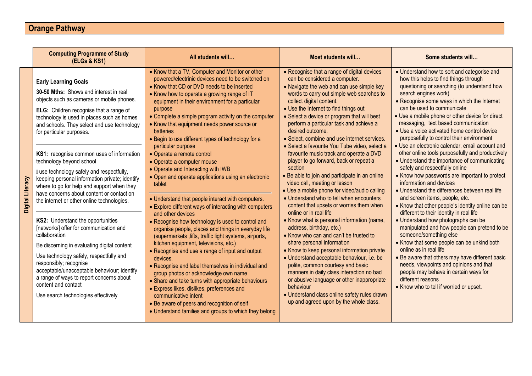|                  | <b>Computing Programme of Study</b><br>(ELGs & KS1)                                                                                                                                                                                                                                                                                                                                                                                                                                                                                                                                                                                                                                                                                                                                                                                                                                                                                                                                  | All students will                                                                                                                                                                                                                                                                                                                                                                                                                                                                                                                                                                                                                                                                                                                                                                                                                                                                                                                                                                                                                                                                                                                                                                                                                                                                                                                                                                      | Most students will                                                                                                                                                                                                                                                                                                                                                                                                                                                                                                                                                                                                                                                                                                                                                                                                                                                                                                                                                                                                                                                                                                                                                                                                                                                                                    | Some students will                                                                                                                                                                                                                                                                                                                                                                                                                                                                                                                                                                                                                                                                                                                                                                                                                                                                                                                                                                                                                                                                                                                                                                                                                                                                       |
|------------------|--------------------------------------------------------------------------------------------------------------------------------------------------------------------------------------------------------------------------------------------------------------------------------------------------------------------------------------------------------------------------------------------------------------------------------------------------------------------------------------------------------------------------------------------------------------------------------------------------------------------------------------------------------------------------------------------------------------------------------------------------------------------------------------------------------------------------------------------------------------------------------------------------------------------------------------------------------------------------------------|----------------------------------------------------------------------------------------------------------------------------------------------------------------------------------------------------------------------------------------------------------------------------------------------------------------------------------------------------------------------------------------------------------------------------------------------------------------------------------------------------------------------------------------------------------------------------------------------------------------------------------------------------------------------------------------------------------------------------------------------------------------------------------------------------------------------------------------------------------------------------------------------------------------------------------------------------------------------------------------------------------------------------------------------------------------------------------------------------------------------------------------------------------------------------------------------------------------------------------------------------------------------------------------------------------------------------------------------------------------------------------------|-------------------------------------------------------------------------------------------------------------------------------------------------------------------------------------------------------------------------------------------------------------------------------------------------------------------------------------------------------------------------------------------------------------------------------------------------------------------------------------------------------------------------------------------------------------------------------------------------------------------------------------------------------------------------------------------------------------------------------------------------------------------------------------------------------------------------------------------------------------------------------------------------------------------------------------------------------------------------------------------------------------------------------------------------------------------------------------------------------------------------------------------------------------------------------------------------------------------------------------------------------------------------------------------------------|------------------------------------------------------------------------------------------------------------------------------------------------------------------------------------------------------------------------------------------------------------------------------------------------------------------------------------------------------------------------------------------------------------------------------------------------------------------------------------------------------------------------------------------------------------------------------------------------------------------------------------------------------------------------------------------------------------------------------------------------------------------------------------------------------------------------------------------------------------------------------------------------------------------------------------------------------------------------------------------------------------------------------------------------------------------------------------------------------------------------------------------------------------------------------------------------------------------------------------------------------------------------------------------|
| Digital Literacy | <b>Early Learning Goals</b><br>30-50 Mths: Shows and interest in real<br>objects such as cameras or mobile phones.<br>ELG: Children recognise that a range of<br>technology is used in places such as homes<br>and schools. They select and use technology<br>for particular purposes.<br>KS1: recognise common uses of information<br>technology beyond school<br>I use technology safely and respectfully,<br>keeping personal information private; identify<br>where to go for help and support when they<br>have concerns about content or contact on<br>the internet or other online technologies.<br>KS2: Understand the opportunities<br>[networks] offer for communication and<br>collaboration<br>Be discerning in evaluating digital content<br>Use technology safely, respectfully and<br>responsibly; recognise<br>acceptable/unacceptable behaviour; identify<br>a range of ways to report concerns about<br>content and contact<br>Use search technologies effectively | • Know that a TV, Computer and Monitor or other<br>powered/electrinic devices need to be switched on<br>• Know that CD or DVD needs to be inserted<br>• Know how to operate a growing range of IT<br>equipment in their environment for a particular<br>purpose<br>• Complete a simple program activity on the computer<br>• Know that equipment needs power source or<br>batteries<br>• Begin to use different types of technology for a<br>particular purpose<br>• Operate a remote control<br>• Operate a computer mouse<br>• Operate and Interacting with IWB<br>• Open and operate applications using an electronic<br>tablet<br>• Understand that people interact with computers.<br>• Explore different ways of interacting with computers<br>and other devices<br>• Recognise how technology is used to control and<br>organise people, places and things in everyday life<br>(supermarkets, lifts, traffic light systems, airports,<br>kitchen equipment, televisions, etc.)<br>• Recognise and use a range of input and output<br>devices.<br>• Recognise and label themselves in individual and<br>group photos or acknowledge own name<br>• Share and take turns with appropriate behaviours<br>• Express likes, dislikes, preferences and<br>communicative intent<br>• Be aware of peers and recognition of self<br>• Understand families and groups to which they belong | • Recognise that a range of digital devices<br>can be considered a computer.<br>• Navigate the web and can use simple key<br>words to carry out simple web searches to<br>collect digital content.<br>• Use the Internet to find things out<br>• Select a device or program that will best<br>perform a particular task and achieve a<br>desired outcome.<br>• Select, combine and use internet services.<br>· Select a favourite You Tube video, select a<br>favourite music track and operate a DVD<br>player to go forward, back or repeat a<br>section<br>• Be able to join and participate in an online<br>video call, meeting or lesson<br>· Use a mobile phone for video/audio calling<br>• Understand who to tell when encounters<br>content that upsets or worries them when<br>online or in real life<br>• Know what is personal information (name,<br>address, birthday, etc.)<br>• Know who can and can't be trusted to<br>share personal information<br>• Know to keep personal information private<br>• Understand acceptable behaviour, i.e. be<br>polite, common courtesy and basic<br>manners in daily class interaction no bad<br>or abusive language or other inappropriate<br>behaviour<br>• Understand class online safety rules drawn<br>up and agreed upon by the whole class. | • Understand how to sort and categorise and<br>how this helps to find things through<br>questioning or searching (to understand how<br>search engines work)<br>• Recognise some ways in which the Internet<br>can be used to communicate<br>• Use a mobile phone or other device for direct<br>messaging, text based communication<br>• Use a voice activated home control device<br>purposefully to control their environment<br>• Use an electronic calendar, email account and<br>other online tools purposefully and productively<br>• Understand the importance of communicating<br>safely and respectfully online<br>• Know how passwords are important to protect<br>information and devices<br>• Understand the differences between real life<br>and screen items, people, etc.<br>• Know that other people's identity online can be<br>different to their identity in real life<br>• Understand how photographs can be<br>manipulated and how people can pretend to be<br>someone/something else<br>• Know that some people can be unkind both<br>online as in real life<br>• Be aware that others may have different basic<br>needs, viewpoints and opinions and that<br>people may behave in certain ways for<br>different reasons<br>• Know who to tell if worried or upset. |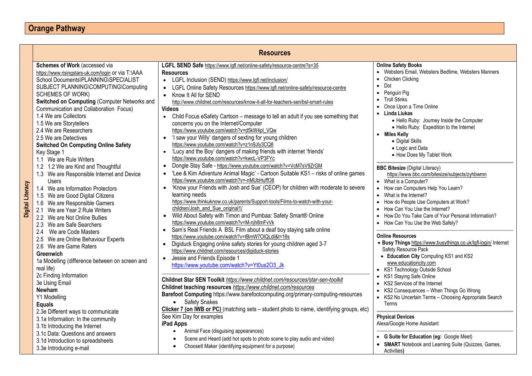|                  |                                                               | <b>Resources</b>                                                                               |                                                                                    |  |  |
|------------------|---------------------------------------------------------------|------------------------------------------------------------------------------------------------|------------------------------------------------------------------------------------|--|--|
|                  | Schemes of Work (accessed via                                 | LGFL SEND Safe https://www.lgfl.net/online-safety/resource-centre?s=35                         | <b>Online Safety Books</b>                                                         |  |  |
|                  | https://www.risingstars-uk.com/login or via T:\AAA            | <b>Resources</b>                                                                               | • Websters Email, Websters Bedtime, Websters Manners                               |  |  |
|                  | School Documents\PLANNING\SPECIALIST                          | • LGFL Inclusion (SEND) https://www.lgfl.net/inclusion/                                        | Chicken Clicking                                                                   |  |  |
|                  | SUBJECT PLANNING\COMPUTING\Computing                          | LGFL Online Safety Resources https://www.lgfl.net/online-safety/resource-centre                | Dot<br>$\bullet$                                                                   |  |  |
|                  | <b>SCHEMES OF WORK)</b>                                       | Know It All for SEND                                                                           | Penguin Pig                                                                        |  |  |
|                  | Switched on Computing (Computer Networks and                  | http://www.childnet.com/resources/know-it-all-for-teachers-sen/bsl-smart-rules                 | <b>Troll Stinks</b>                                                                |  |  |
|                  | Communication and Collaboration Focus)                        | <b>Videos</b>                                                                                  | Once Upon a Time Online<br>$\bullet$                                               |  |  |
|                  | 1.4 We are Collectors                                         | Child Focus eSafety Cartoon - message to tell an adult if you see something that<br>$\bullet$  | • Linda Liukas<br>• Hello Ruby: Journey Inside the Computer                        |  |  |
|                  | 1.5 We are Storytellers                                       | concerns you on the Internet/Computer                                                          | • Hello Ruby: Expedition to the Internet                                           |  |  |
|                  | 2.4 We are Researchers                                        | https://www.youtube.com/watch?v=d5kW4pl_VQw                                                    | • Miles Kelly                                                                      |  |  |
|                  | 2.5 We are Detectives                                         | • 'I saw your Willy' dangers of sexting for young children                                     | · Digital Skills                                                                   |  |  |
|                  | <b>Switched On Computing Online Safety</b>                    | https://www.youtube.com/watch?v=z1n9Jly3CQ8                                                    | • Logic and Data                                                                   |  |  |
|                  | Key Stage 1                                                   | 'Lucy and the Boy' dangers of making friends with internet 'friends'                           | • How Does My Tablet Work                                                          |  |  |
|                  | 1.1 We are Rule Writers                                       | https://www.youtube.com/watch?v=kwcL-VP3FYc                                                    |                                                                                    |  |  |
|                  | 1.2 1.2 We are Kind and Thoughtful                            | Dongle Stay Safe - https://www.youtube.com/watch?v=VcM7sV9ZrGM<br>$\bullet$                    | <b>BBC Bitesize (Digital Literacy)</b>                                             |  |  |
|                  | 1.3 We are Responsible Internet and Device                    | 'Lee & Kim Adventure Animal Magic' - Cartoon Suitable KS1 - risks of online games              | https://www.bbc.com/bitesize/subjects/zyhbwmn                                      |  |  |
|                  | Users                                                         | https://www.youtube.com/watch?v=-nMUbHuffO8                                                    | What is a Computer?                                                                |  |  |
|                  | 1.4 We are Information Protectors                             | 'Know your Friends with Josh and Sue' (CEOP) for children with moderate to severe              | How can Computers Help You Learn?<br>$\bullet$                                     |  |  |
|                  | 1.5 We are Good Digital Citizens                              | learning needs<br>https://www.thinkuknow.co.uk/parents/Support-tools/Films-to-watch-with-your- | • What is the Internet?                                                            |  |  |
|                  | 1.6 We are Responsible Gamers                                 | children/Josh_and_Sue_original1/                                                               | How do People Use Computers at Work?<br>How Can You Use the Internet?<br>$\bullet$ |  |  |
| Digital Literacy | 2.1 We are Year 2 Rule Writers                                | Wild About Safety with Timon and Pumbaa: Safety Smart® Online                                  | • How Do You Take Care of Your Personal Information?                               |  |  |
|                  | 2.2 We are Not Online Bullies                                 | https://www.youtube.com/watch?v=M-njh8mFvVk                                                    | • How Can You Use the Web Safely?                                                  |  |  |
|                  | 2.3 We are Safe Searchers                                     | Sam's Real Friends A BSL Film about a deaf boy staying safe online<br>$\bullet$                |                                                                                    |  |  |
|                  | 2.4 We are Code Masters                                       | https://www.youtube.com/watch?v=tBmW7OlQLdI&t=18s                                              | <b>Online Resources</b>                                                            |  |  |
|                  | 2.5 We are Online Behaviour Experts<br>2.6 We are Game Raters | Digiduck Engaging online safety stories for young children aged 3-7<br>$\bullet$               | · Busy Things https://www.busythings.co.uk/lgfl-login/ Internet                    |  |  |
|                  | <b>Greenwich</b>                                              | https://www.childnet.com/resources/digiduck-stories                                            | Safety Resource Pack                                                               |  |  |
|                  | 1a Modelling (difference between on screen and                | Jessie and Friends Episode 1<br>$\bullet$                                                      | • Education City Computing KS1 and KS2                                             |  |  |
|                  | real life)                                                    | https://www.youtube.com/watch?v=Yt0us2O3_Jk                                                    | www.educationcity.com                                                              |  |  |
|                  | 2c Finding Information                                        |                                                                                                | • KS1 Technology Outside School<br>KS1 Staying Safe Online<br>$\bullet$            |  |  |
|                  | 3e Using Email                                                | Childnet Star SEN Toolkit https://www.childnet.com/resources/star-sen-toolkit                  | • KS2 Services of the Internet                                                     |  |  |
|                  | Newham                                                        | Childnet teaching resources https://www.childnet.com/resources                                 | KS2 Consequences - When Things Go Wrong                                            |  |  |
|                  | Y1 Modelling                                                  | Barefoot Computing https://www.barefootcomputing.org/primary-computing-resources               | • KS2 No Uncertain Terms - Choosing Appropriate Search                             |  |  |
|                  | <b>Equals</b>                                                 | • Safety Snakes                                                                                | Terms                                                                              |  |  |
|                  | 2.3e Different ways to communicate                            | Clicker 7 (on IWB or PC) (matching sets - student photo to name, identifying groups, etc)      |                                                                                    |  |  |
|                  | 3.1a Information: In the community                            | See Kim Day for examples                                                                       | <b>Physical Devices</b>                                                            |  |  |
|                  | 3.1b Introducing the Internet                                 | iPad Apps                                                                                      | Alexa/Google Home Assistant                                                        |  |  |
|                  | 3.1c Data: Questions and answers                              | Animal Face (disguising appearances)                                                           |                                                                                    |  |  |
|                  | 3.1d Introduction to spreadsheets                             | Scene and Heard (add hot spots to photo scene to play audio and video)                         | • G Suite for Education (eg: Google Meet)                                          |  |  |
|                  | 3.3e Introducing e-mail                                       | Chooselt Maker (identifying equipment for a purpose)                                           | <b>SMART</b> Notebook and Learning Suite (Quizzes, Games,                          |  |  |
|                  |                                                               |                                                                                                | Activities)                                                                        |  |  |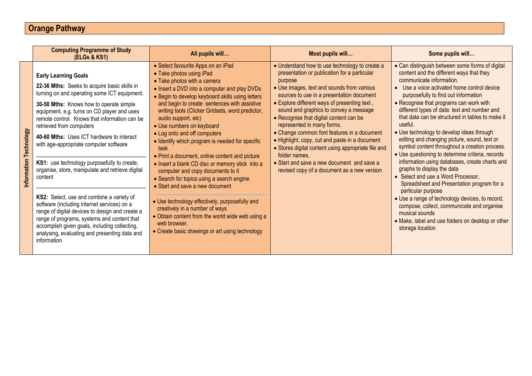|       | <b>Computing Programme of Study</b><br>(ELGs & KS1)                                                                                                                                                                                                                                                                                                                                                                                                                                                                                                                                                                                                                                                                                                                                                                    | All pupils will                                                                                                                                                                                                                                                                                                                                                                                                                                                                                                                                                                                                                                                                                                                                                                                                                                                                           | Most pupils will                                                                                                                                                                                                                                                                                                                                                                                                                                                                                                                                                                                                                              | Some pupils will                                                                                                                                                                                                                                                                                                                                                                                                                                                                                                                                                                                                                                                                                                                                                                                                                                                                                                                                               |
|-------|------------------------------------------------------------------------------------------------------------------------------------------------------------------------------------------------------------------------------------------------------------------------------------------------------------------------------------------------------------------------------------------------------------------------------------------------------------------------------------------------------------------------------------------------------------------------------------------------------------------------------------------------------------------------------------------------------------------------------------------------------------------------------------------------------------------------|-------------------------------------------------------------------------------------------------------------------------------------------------------------------------------------------------------------------------------------------------------------------------------------------------------------------------------------------------------------------------------------------------------------------------------------------------------------------------------------------------------------------------------------------------------------------------------------------------------------------------------------------------------------------------------------------------------------------------------------------------------------------------------------------------------------------------------------------------------------------------------------------|-----------------------------------------------------------------------------------------------------------------------------------------------------------------------------------------------------------------------------------------------------------------------------------------------------------------------------------------------------------------------------------------------------------------------------------------------------------------------------------------------------------------------------------------------------------------------------------------------------------------------------------------------|----------------------------------------------------------------------------------------------------------------------------------------------------------------------------------------------------------------------------------------------------------------------------------------------------------------------------------------------------------------------------------------------------------------------------------------------------------------------------------------------------------------------------------------------------------------------------------------------------------------------------------------------------------------------------------------------------------------------------------------------------------------------------------------------------------------------------------------------------------------------------------------------------------------------------------------------------------------|
| N6olo | <b>Early Learning Goals</b><br>22-36 Mths: Seeks to acquire basic skills in<br>turning on and operating some ICT equipment.<br>30-50 Mths: Knows how to operate simple<br>equipment, e.g. turns on CD player and uses<br>remote control. Knows that information can be<br>retrieved from computers<br>40-60 Mths: Uses ICT hardware to interact<br>with age-appropriate computer software<br>KS1: use technology purposefully to create,<br>organise, store, manipulate and retrieve digital<br>content<br>KS2: Select, use and combine a variety of<br>software (including internet services) on a<br>range of digital devices to design and create a<br>range of programs, systems and content that<br>accomplish given goals, including collecting,<br>analysing, evaluating and presenting data and<br>information | • Select favourite Apps on an iPad<br>• Take photos using iPad<br>• Take photos with a camera<br>• Insert a DVD into a computer and play DVDs<br>• Begin to develop keyboard skills using letters<br>and begin to create sentences with assistive<br>writing tools (Clicker Gridsets, word predictor,<br>audio support, etc)<br>• Use numbers on keyboard<br>• Log onto and off computers<br>• Identify which program is needed for specific<br>task<br>• Print a document, online content and picture<br>• Insert a blank CD disc or memory stick into a<br>computer and copy documents to it<br>• Search for topics using a search engine<br>• Start and save a new document<br>• Use technology effectively, purposefully and<br>creatively in a number of ways<br>• Obtain content from the world wide web using a<br>web browser.<br>• Create basic drawings or art using technology | • Understand how to use technology to create a<br>presentation or publication for a particular<br>purpose<br>• Use images, text and sounds from various<br>sources to use in a presentation document<br>• Explore different ways of presenting text,<br>sound and graphics to convey a message<br>• Recognise that digital content can be<br>represented in many forms.<br>• Change common font features in a document<br>• Highlight, copy, cut and paste in a document<br>• Stores digital content using appropriate file and<br>folder names.<br>• Start and save a new document and save a<br>revised copy of a document as a new version | • Can distinguish between some forms of digital<br>content and the different ways that they<br>communicate information.<br>Use a voice activated home control device<br>purposefully to find out information<br>• Recognise that programs can work with<br>different types of data: text and number and<br>that data can be structured in tables to make it<br>useful.<br>• Use technology to develop ideas through<br>editing and changing picture, sound, text or<br>symbol content throughout a creation process.<br>• Use questioning to determine criteria, records<br>information using databases, create charts and<br>graphs to display the data<br>• Select and use a Word Processor,<br>Spreadsheet and Presentation program for a<br>particular purpose<br>• Use a range of technology devices, to record,<br>compose, collect, communicate and organise<br>musical sounds<br>• Make, label and use folders on desktop or other<br>storage location |